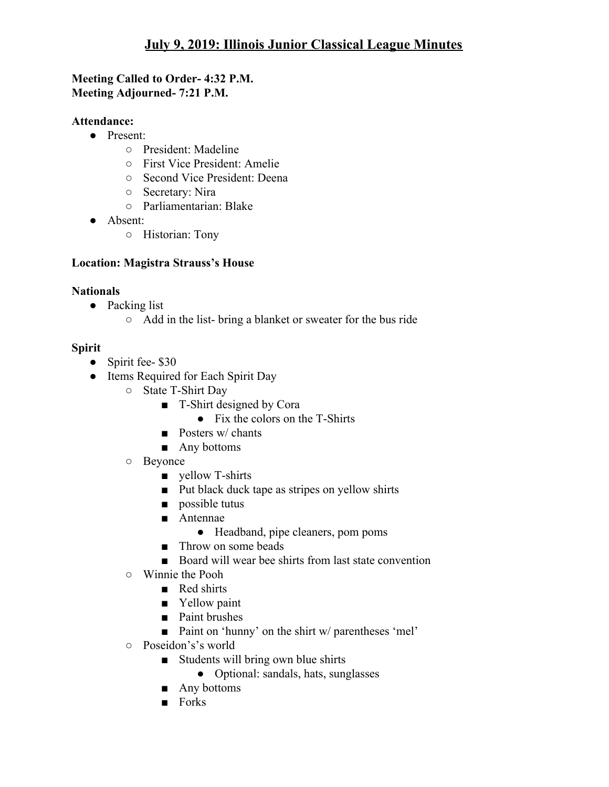## **Meeting Called to Order- 4:32 P.M. Meeting Adjourned- 7:21 P.M.**

## **Attendance:**

- Present:
	- President: Madeline
	- First Vice President: Amelie
	- Second Vice President: Deena
	- Secretary: Nira
	- Parliamentarian: Blake
- Absent:
	- Historian: Tony

## **Location: Magistra Strauss's House**

#### **Nationals**

- Packing list
	- Add in the list- bring a blanket or sweater for the bus ride

## **Spirit**

- Spirit fee- \$30
- Items Required for Each Spirit Day
	- State T-Shirt Day
		- T-Shirt designed by Cora
			- Fix the colors on the T-Shirts
		- Posters w/ chants
		- Any bottoms
	- Beyonce
		- yellow T-shirts
		- Put black duck tape as stripes on yellow shirts
		- possible tutus
		- Antennae
			- Headband, pipe cleaners, pom poms
		- Throw on some beads
		- Board will wear bee shirts from last state convention
	- Winnie the Pooh
		- Red shirts
		- Yellow paint
		- Paint brushes
		- Paint on 'hunny' on the shirt w/ parentheses 'mel'
	- Poseidon's's world
		- Students will bring own blue shirts
			- Optional: sandals, hats, sunglasses
		- Any bottoms
		- Forks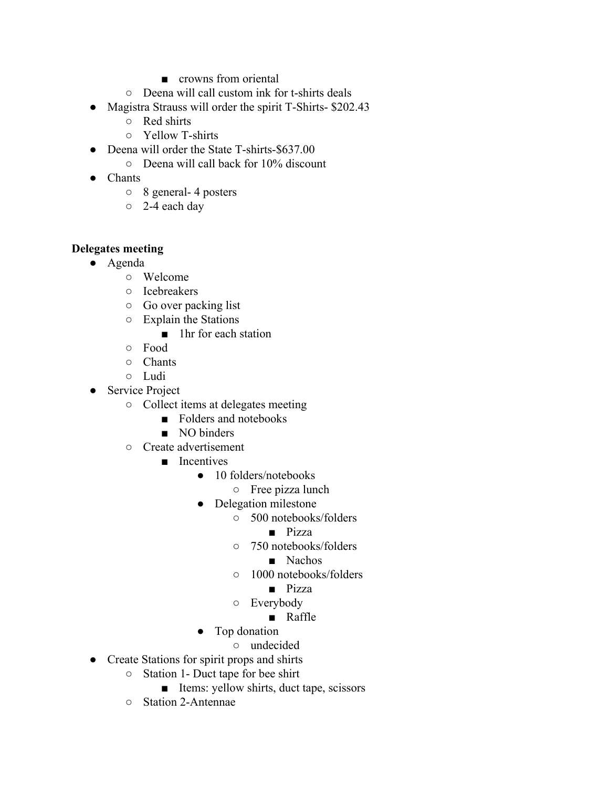- crowns from oriental
- Deena will call custom ink for t-shirts deals
- Magistra Strauss will order the spirit T-Shirts- \$202.43
	- Red shirts
	- Yellow T-shirts
- Deena will order the State T-shirts-\$637.00
	- Deena will call back for 10% discount
- Chants
	- 8 general- 4 posters
	- 2-4 each day

#### **Delegates meeting**

- Agenda
	- Welcome
	- Icebreakers
	- Go over packing list
	- Explain the Stations
		- 1hr for each station
	- Food
	- Chants
	- Ludi
- Service Project
	- Collect items at delegates meeting
		- Folders and notebooks
		- NO binders
	- Create advertisement
		- Incentives
			- 10 folders/notebooks
				- Free pizza lunch
			- Delegation milestone
				- 500 notebooks/folders
					- Pizza
				- 750 notebooks/folders
					- Nachos
				- 1000 notebooks/folders
					- Pizza
				- Everybody
					- Raffle
			- Top donation
				- undecided
- Create Stations for spirit props and shirts
	- Station 1- Duct tape for bee shirt
		- Items: yellow shirts, duct tape, scissors
	- Station 2-Antennae